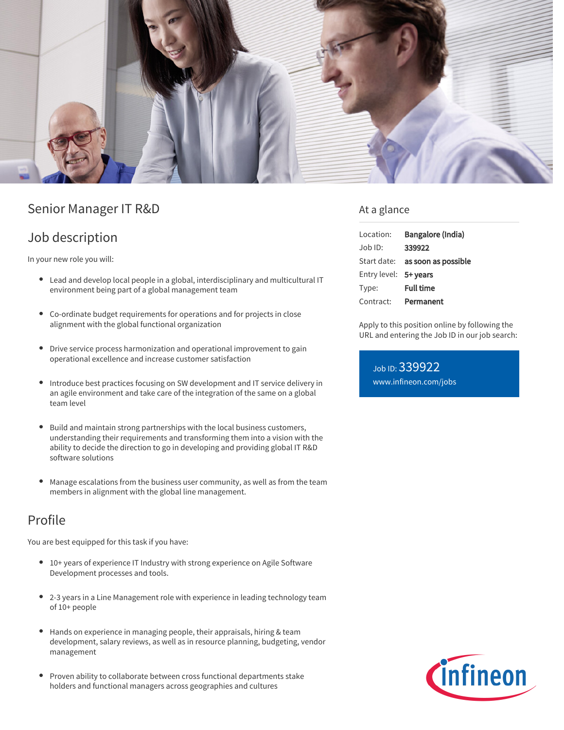

## Senior Manager IT R&D

### Job description

In your new role you will:

- Lead and develop local people in a global, interdisciplinary and multicultural IT environment being part of a global management team
- Co-ordinate budget requirements for operations and for projects in close alignment with the global functional organization
- Drive service process harmonization and operational improvement to gain operational excellence and increase customer satisfaction
- Introduce best practices focusing on SW development and IT service delivery in an agile environment and take care of the integration of the same on a global team level
- Build and maintain strong partnerships with the local business customers,  $\bullet$ understanding their requirements and transforming them into a vision with the ability to decide the direction to go in developing and providing global IT R&D software solutions
- Manage escalations from the business user community, as well as from the team members in alignment with the global line management.

# Profile

You are best equipped for this task if you have:

- $\bullet$ 10+ years of experience IT Industry with strong experience on Agile Software Development processes and tools.
- 2-3 years in a Line Management role with experience in leading technology team of 10+ people
- Hands on experience in managing people, their appraisals, hiring & team development, salary reviews, as well as in resource planning, budgeting, vendor management
- Proven ability to collaborate between cross functional departments stake holders and functional managers across geographies and cultures

### At a glance

| Location:             | Bangalore (India)                      |
|-----------------------|----------------------------------------|
| Job ID:               | 339922                                 |
|                       | Start date: <b>as soon as possible</b> |
| Entry level: 5+ years |                                        |
| Type:                 | <b>Full time</b>                       |
| Contract:             | Permanent                              |

Apply to this position online by following the URL and entering the Job ID in our job search:

Job ID: 339922 [www.infineon.com/jobs](https://www.infineon.com/jobs)